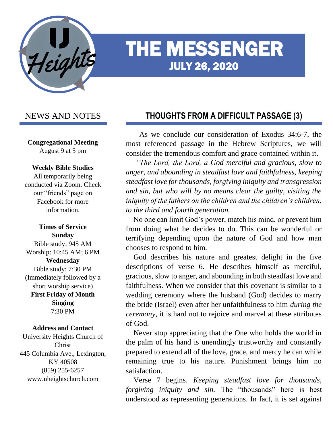

# THE MESSENGER JULY 26, 2020

# NEWS AND NOTES

**Congregational Meeting** August 9 at 5 pm

### **Weekly Bible Studies**

All temporarily being conducted via Zoom. Check our "friends" page on Facebook for more information.

**Times of Service Sunday** Bible study: 945 AM Worship: 10:45 AM; 6 PM **Wednesday** Bible study: 7:30 PM (Immediately followed by a short worship service) **First Friday of Month Singing** 7:30 PM

#### **Address and Contact**

University Heights Church of Christ 445 Columbia Ave., Lexington, KY 40508 (859) 255-6257 www.uheightschurch.com

# **THOUGHTS FROM A DIFFICULT PASSAGE (3)**

Ĩ

 As we conclude our consideration of Exodus 34:6-7, the most referenced passage in the Hebrew Scriptures, we will consider the tremendous comfort and grace contained within it.

 *"The Lord, the Lord, a God merciful and gracious, slow to anger, and abounding in steadfast love and faithfulness, keeping steadfast love for thousands, forgiving iniquity and transgression and sin, but who will by no means clear the guilty, visiting the iniquity of the fathers on the children and the children's children, to the third and fourth generation.*

 No one can limit God's power, match his mind, or prevent him from doing what he decides to do. This can be wonderful or terrifying depending upon the nature of God and how man chooses to respond to him.

 God describes his nature and greatest delight in the five descriptions of verse 6. He describes himself as merciful, gracious, slow to anger, and abounding in both steadfast love and faithfulness. When we consider that this covenant is similar to a wedding ceremony where the husband (God) decides to marry the bride (Israel) even after her unfaithfulness to him *during the ceremony*, it is hard not to rejoice and marvel at these attributes of God.

 Never stop appreciating that the One who holds the world in the palm of his hand is unendingly trustworthy and constantly prepared to extend all of the love, grace, and mercy he can while remaining true to his nature. Punishment brings him no satisfaction.

 Verse 7 begins. *Keeping steadfast love for thousands, forgiving iniquity and sin.* The "thousands" here is best understood as representing generations. In fact, it is set against